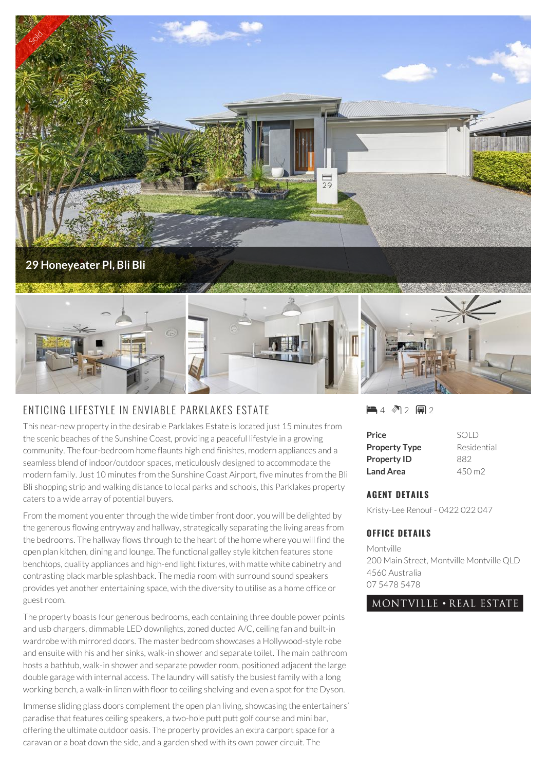

## ENTICING LIFESTYLE IN ENVIABLE PARKLAKES ESTATE

This near-new property in the desirable Parklakes Estate is located just 15 minutes from the scenic beaches of the Sunshine Coast, providing a peaceful lifestyle in a growing community. The four-bedroom home flaunts high end finishes, modern appliances and a seamless blend of indoor/outdoor spaces, meticulously designed to accommodate the modern family. Just 10 minutes from the Sunshine Coast Airport, five minutes from the Bli Bli shopping strip and walking distance to local parks and schools, this Parklakes property caters to a wide array of potential buyers.

From the moment you enter through the wide timber front door, you will be delighted by the generous flowing entryway and hallway, strategically separating the living areas from the bedrooms. The hallway flows through to the heart of the home where you will find the open plan kitchen, dining and lounge. The functional galley style kitchen features stone benchtops, quality appliances and high-end light fixtures, with matte white cabinetry and contrasting black marble splashback. The media room with surround sound speakers provides yet another entertaining space, with the diversity to utilise as a home office or guest room.

The property boasts four generous bedrooms, each containing three double power points and usb chargers, dimmable LED downlights, zoned ducted A/C, ceiling fan and built-in wardrobe with mirrored doors. The master bedroom showcases a Hollywood-style robe and ensuite with his and her sinks, walk-in shower and separate toilet. The main bathroom hosts a bathtub, walk-in shower and separate powder room, positioned adjacent the large double garage with internal access. The laundry will satisfy the busiest family with a long working bench, a walk-in linen with floor to ceiling shelving and even a spot for the Dyson.

Immense sliding glass doors complement the open plan living, showcasing the entertainers' paradise that features ceiling speakers, a two-hole putt putt golf course and mini bar, offering the ultimate outdoor oasis. The property provides an extra carport space for a caravan or a boat down the side, and a garden shed with its own power circuit. The

 $-4$  12  $-2$ 

| Price                | SOLD               |
|----------------------|--------------------|
| <b>Property Type</b> | Residential        |
| <b>Property ID</b>   | 882                |
| <b>Land Area</b>     | $450 \,\mathrm{m}$ |

## **AGENT DETAILS**

Kristy-Lee Renouf - 0422 022 047

## **OFFICE DETAILS**

Montville 200 Main Street, Montville Montville QLD 4560 Australia 07 5478 5478

## MONTVILLE • REAL ESTATE